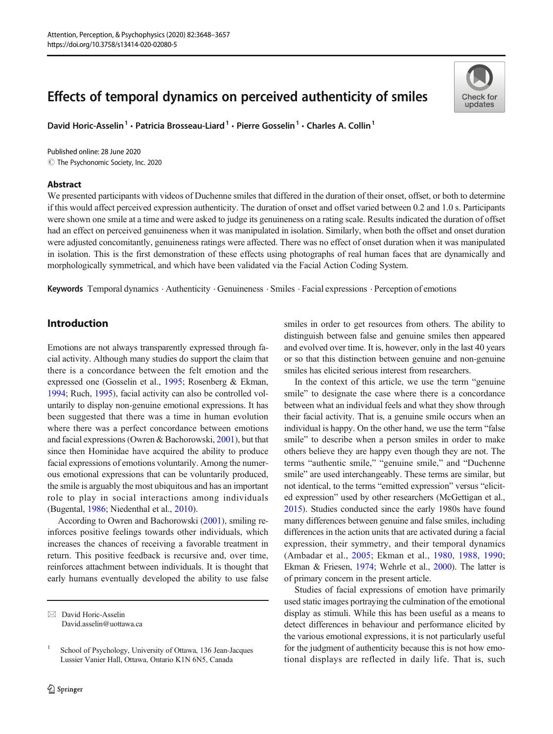# Effects of temporal dynamics on perceived authenticity of smiles

David Horic-Asselin<sup>1</sup> • Patricia Brosseau-Liard<sup>1</sup> • Pierre Gosselin<sup>1</sup> • Charles A. Collin<sup>1</sup>

 $\odot$  The Psychonomic Society, Inc. 2020 Published online: 28 June 2020

#### Abstract



We presented participants with videos of Duchenne smiles that differed in the duration of their onset, offset, or both to determine if this would affect perceived expression authenticity. The duration of onset and offset varied between 0.2 and 1.0 s. Participants were shown one smile at a time and were asked to judge its genuineness on a rating scale. Results indicated the duration of offset had an effect on perceived genuineness when it was manipulated in isolation. Similarly, when both the offset and onset duration were adjusted concomitantly, genuineness ratings were affected. There was no effect of onset duration when it was manipulated in isolation. This is the first demonstration of these effects using photographs of real human faces that are dynamically and morphologically symmetrical, and which have been validated via the Facial Action Coding System.

Keywords Temporal dynamics . Authenticity . Genuineness . Smiles . Facial expressions . Perception of emotions

# Introduction

Emotions are not always transparently expressed through facial activity. Although many studies do support the claim that there is a concordance between the felt emotion and the expressed one (Gosselin et al., [1995](#page-8-0); Rosenberg & Ekman, [1994;](#page-9-0) Ruch, [1995](#page-9-0)), facial activity can also be controlled voluntarily to display non-genuine emotional expressions. It has been suggested that there was a time in human evolution where there was a perfect concordance between emotions and facial expressions (Owren & Bachorowski, [2001\)](#page-9-0), but that since then Hominidae have acquired the ability to produce facial expressions of emotions voluntarily. Among the numerous emotional expressions that can be voluntarily produced, the smile is arguably the most ubiquitous and has an important role to play in social interactions among individuals (Bugental, [1986;](#page-8-0) Niedenthal et al., [2010\)](#page-9-0).

According to Owren and Bachorowski [\(2001\)](#page-9-0), smiling reinforces positive feelings towards other individuals, which increases the chances of receiving a favorable treatment in return. This positive feedback is recursive and, over time, reinforces attachment between individuals. It is thought that early humans eventually developed the ability to use false smiles in order to get resources from others. The ability to distinguish between false and genuine smiles then appeared and evolved over time. It is, however, only in the last 40 years or so that this distinction between genuine and non-genuine smiles has elicited serious interest from researchers.

In the context of this article, we use the term "genuine smile" to designate the case where there is a concordance between what an individual feels and what they show through their facial activity. That is, a genuine smile occurs when an individual is happy. On the other hand, we use the term "false smile" to describe when a person smiles in order to make others believe they are happy even though they are not. The terms "authentic smile," "genuine smile," and "Duchenne smile" are used interchangeably. These terms are similar, but not identical, to the terms "emitted expression" versus "elicited expression" used by other researchers (McGettigan et al., [2015\)](#page-9-0). Studies conducted since the early 1980s have found many differences between genuine and false smiles, including differences in the action units that are activated during a facial expression, their symmetry, and their temporal dynamics (Ambadar et al., [2005;](#page-8-0) Ekman et al., [1980](#page-8-0), [1988](#page-8-0), [1990;](#page-8-0) Ekman & Friesen, [1974;](#page-8-0) Wehrle et al., [2000\)](#page-9-0). The latter is of primary concern in the present article.

Studies of facial expressions of emotion have primarily used static images portraying the culmination of the emotional display as stimuli. While this has been useful as a means to detect differences in behaviour and performance elicited by the various emotional expressions, it is not particularly useful for the judgment of authenticity because this is not how emotional displays are reflected in daily life. That is, such

 $\boxtimes$  David Horic-Asselin [David.asselin@uottawa.ca](mailto:David.asselin@uottawa.ca)

<sup>1</sup> School of Psychology, University of Ottawa, 136 Jean-Jacques Lussier Vanier Hall, Ottawa, Ontario K1N 6N5, Canada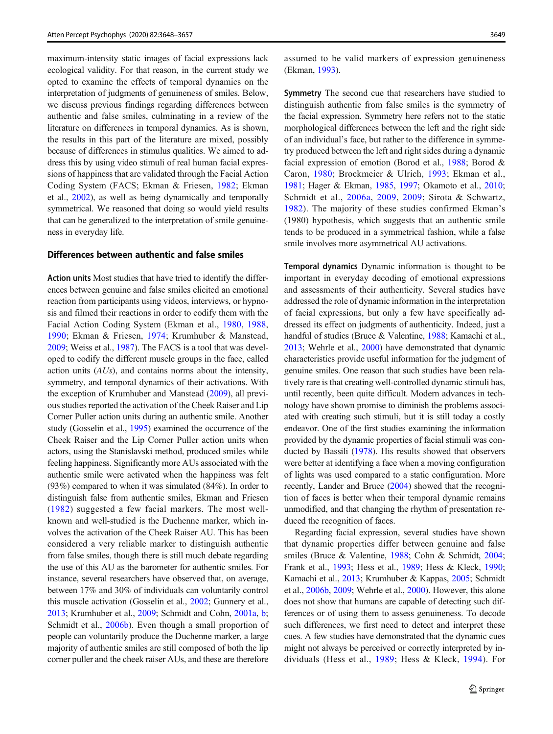maximum-intensity static images of facial expressions lack ecological validity. For that reason, in the current study we opted to examine the effects of temporal dynamics on the interpretation of judgments of genuineness of smiles. Below, we discuss previous findings regarding differences between authentic and false smiles, culminating in a review of the literature on differences in temporal dynamics. As is shown, the results in this part of the literature are mixed, possibly because of differences in stimulus qualities. We aimed to address this by using video stimuli of real human facial expressions of happiness that are validated through the Facial Action Coding System (FACS; Ekman & Friesen, [1982](#page-8-0); Ekman et al., [2002](#page-8-0)), as well as being dynamically and temporally symmetrical. We reasoned that doing so would yield results that can be generalized to the interpretation of smile genuineness in everyday life.

#### Differences between authentic and false smiles

Action units Most studies that have tried to identify the differences between genuine and false smiles elicited an emotional reaction from participants using videos, interviews, or hypnosis and filmed their reactions in order to codify them with the Facial Action Coding System (Ekman et al., [1980](#page-8-0), [1988,](#page-8-0) [1990](#page-8-0); Ekman & Friesen, [1974;](#page-8-0) Krumhuber & Manstead, [2009;](#page-9-0) Weiss et al., [1987\)](#page-9-0). The FACS is a tool that was developed to codify the different muscle groups in the face, called action units (AUs), and contains norms about the intensity, symmetry, and temporal dynamics of their activations. With the exception of Krumhuber and Manstead ([2009](#page-9-0)), all previous studies reported the activation of the Cheek Raiser and Lip Corner Puller action units during an authentic smile. Another study (Gosselin et al., [1995](#page-8-0)) examined the occurrence of the Cheek Raiser and the Lip Corner Puller action units when actors, using the Stanislavski method, produced smiles while feeling happiness. Significantly more AUs associated with the authentic smile were activated when the happiness was felt (93%) compared to when it was simulated (84%). In order to distinguish false from authentic smiles, Ekman and Friesen [\(1982](#page-8-0)) suggested a few facial markers. The most wellknown and well-studied is the Duchenne marker, which involves the activation of the Cheek Raiser AU. This has been considered a very reliable marker to distinguish authentic from false smiles, though there is still much debate regarding the use of this AU as the barometer for authentic smiles. For instance, several researchers have observed that, on average, between 17% and 30% of individuals can voluntarily control this muscle activation (Gosselin et al., [2002](#page-8-0); Gunnery et al., [2013;](#page-8-0) Krumhuber et al., [2009;](#page-9-0) Schmidt and Cohn, [2001a](#page-9-0), [b](#page-9-0); Schmidt et al., [2006b\)](#page-9-0). Even though a small proportion of people can voluntarily produce the Duchenne marker, a large majority of authentic smiles are still composed of both the lip corner puller and the cheek raiser AUs, and these are therefore

assumed to be valid markers of expression genuineness (Ekman, [1993](#page-8-0)).

Symmetry The second cue that researchers have studied to distinguish authentic from false smiles is the symmetry of the facial expression. Symmetry here refers not to the static morphological differences between the left and the right side of an individual's face, but rather to the difference in symmetry produced between the left and right sides during a dynamic facial expression of emotion (Borod et al., [1988;](#page-8-0) Borod & Caron, [1980](#page-8-0); Brockmeier & Ulrich, [1993](#page-8-0); Ekman et al., [1981;](#page-8-0) Hager & Ekman, [1985](#page-8-0), [1997;](#page-8-0) Okamoto et al., [2010;](#page-9-0) Schmidt et al., [2006a](#page-9-0), [2009](#page-9-0), [2009;](#page-9-0) Sirota & Schwartz, [1982](#page-9-0)). The majority of these studies confirmed Ekman's (1980) hypothesis, which suggests that an authentic smile tends to be produced in a symmetrical fashion, while a false smile involves more asymmetrical AU activations.

Temporal dynamics Dynamic information is thought to be important in everyday decoding of emotional expressions and assessments of their authenticity. Several studies have addressed the role of dynamic information in the interpretation of facial expressions, but only a few have specifically addressed its effect on judgments of authenticity. Indeed, just a handful of studies (Bruce & Valentine, [1988;](#page-8-0) Kamachi et al., [2013;](#page-9-0) Wehrle et al., [2000\)](#page-9-0) have demonstrated that dynamic characteristics provide useful information for the judgment of genuine smiles. One reason that such studies have been relatively rare is that creating well-controlled dynamic stimuli has, until recently, been quite difficult. Modern advances in technology have shown promise to diminish the problems associated with creating such stimuli, but it is still today a costly endeavor. One of the first studies examining the information provided by the dynamic properties of facial stimuli was conducted by Bassili ([1978](#page-8-0)). His results showed that observers were better at identifying a face when a moving configuration of lights was used compared to a static configuration. More recently, Lander and Bruce [\(2004\)](#page-9-0) showed that the recognition of faces is better when their temporal dynamic remains unmodified, and that changing the rhythm of presentation reduced the recognition of faces.

Regarding facial expression, several studies have shown that dynamic properties differ between genuine and false smiles (Bruce & Valentine, [1988](#page-8-0); Cohn & Schmidt, [2004;](#page-8-0) Frank et al., [1993](#page-8-0); Hess et al., [1989;](#page-8-0) Hess & Kleck, [1990;](#page-8-0) Kamachi et al., [2013](#page-9-0); Krumhuber & Kappas, [2005](#page-9-0); Schmidt et al., [2006b](#page-9-0), [2009;](#page-9-0) Wehrle et al., [2000](#page-9-0)). However, this alone does not show that humans are capable of detecting such differences or of using them to assess genuineness. To decode such differences, we first need to detect and interpret these cues. A few studies have demonstrated that the dynamic cues might not always be perceived or correctly interpreted by individuals (Hess et al., [1989;](#page-8-0) Hess & Kleck, [1994\)](#page-8-0). For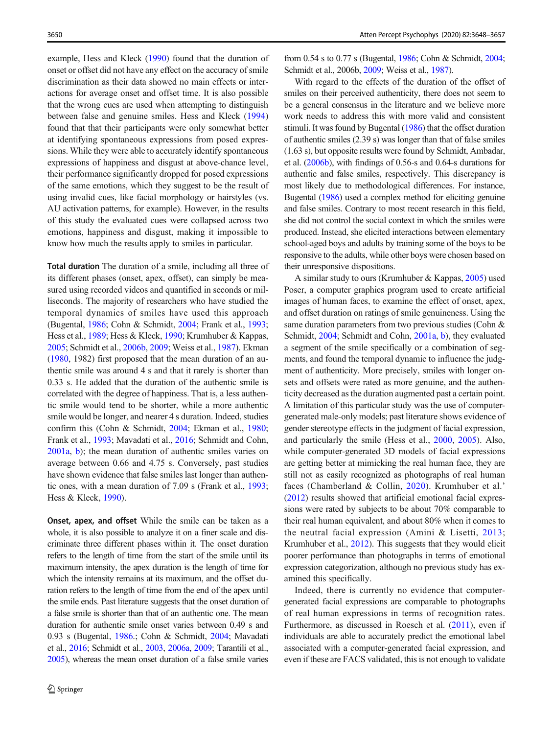example, Hess and Kleck ([1990](#page-8-0)) found that the duration of onset or offset did not have any effect on the accuracy of smile discrimination as their data showed no main effects or interactions for average onset and offset time. It is also possible that the wrong cues are used when attempting to distinguish between false and genuine smiles. Hess and Kleck ([1994\)](#page-8-0) found that that their participants were only somewhat better at identifying spontaneous expressions from posed expressions. While they were able to accurately identify spontaneous expressions of happiness and disgust at above-chance level, their performance significantly dropped for posed expressions of the same emotions, which they suggest to be the result of using invalid cues, like facial morphology or hairstyles (vs. AU activation patterns, for example). However, in the results of this study the evaluated cues were collapsed across two emotions, happiness and disgust, making it impossible to know how much the results apply to smiles in particular.

Total duration The duration of a smile, including all three of its different phases (onset, apex, offset), can simply be measured using recorded videos and quantified in seconds or milliseconds. The majority of researchers who have studied the temporal dynamics of smiles have used this approach (Bugental, [1986](#page-8-0); Cohn & Schmidt, [2004](#page-8-0); Frank et al., [1993](#page-8-0); Hess et al., [1989](#page-8-0); Hess & Kleck, [1990](#page-8-0); Krumhuber & Kappas, [2005;](#page-9-0) Schmidt et al., [2006b,](#page-9-0) [2009](#page-9-0); Weiss et al., [1987\)](#page-9-0). Ekman [\(1980,](#page-8-0) 1982) first proposed that the mean duration of an authentic smile was around 4 s and that it rarely is shorter than 0.33 s. He added that the duration of the authentic smile is correlated with the degree of happiness. That is, a less authentic smile would tend to be shorter, while a more authentic smile would be longer, and nearer 4 s duration. Indeed, studies confirm this (Cohn & Schmidt, [2004](#page-8-0); Ekman et al., [1980](#page-8-0); Frank et al., [1993;](#page-8-0) Mavadati et al., [2016](#page-9-0); Schmidt and Cohn, [2001a](#page-9-0), [b](#page-9-0)); the mean duration of authentic smiles varies on average between 0.66 and 4.75 s. Conversely, past studies have shown evidence that false smiles last longer than authentic ones, with a mean duration of 7.09 s (Frank et al., [1993](#page-8-0); Hess & Kleck, [1990\)](#page-8-0).

Onset, apex, and offset While the smile can be taken as a whole, it is also possible to analyze it on a finer scale and discriminate three different phases within it. The onset duration refers to the length of time from the start of the smile until its maximum intensity, the apex duration is the length of time for which the intensity remains at its maximum, and the offset duration refers to the length of time from the end of the apex until the smile ends. Past literature suggests that the onset duration of a false smile is shorter than that of an authentic one. The mean duration for authentic smile onset varies between 0.49 s and 0.93 s (Bugental, [1986](#page-8-0).; Cohn & Schmidt, [2004](#page-8-0); Mavadati et al., [2016;](#page-9-0) Schmidt et al., [2003,](#page-9-0) [2006a](#page-9-0), [2009](#page-9-0); Tarantili et al., [2005](#page-9-0)), whereas the mean onset duration of a false smile varies

from 0.54 s to 0.77 s (Bugental, [1986](#page-8-0); Cohn & Schmidt, [2004;](#page-8-0) Schmidt et al., 2006b, [2009;](#page-9-0) Weiss et al., [1987](#page-9-0)).

With regard to the effects of the duration of the offset of smiles on their perceived authenticity, there does not seem to be a general consensus in the literature and we believe more work needs to address this with more valid and consistent stimuli. It was found by Bugental ([1986\)](#page-8-0) that the offset duration of authentic smiles (2.39 s) was longer than that of false smiles (1.63 s), but opposite results were found by Schmidt, Ambadar, et al. [\(2006b](#page-9-0)), with findings of 0.56-s and 0.64-s durations for authentic and false smiles, respectively. This discrepancy is most likely due to methodological differences. For instance, Bugental [\(1986\)](#page-8-0) used a complex method for eliciting genuine and false smiles. Contrary to most recent research in this field, she did not control the social context in which the smiles were produced. Instead, she elicited interactions between elementary school-aged boys and adults by training some of the boys to be responsive to the adults, while other boys were chosen based on their unresponsive dispositions.

A similar study to ours (Krumhuber & Kappas, [2005\)](#page-9-0) used Poser, a computer graphics program used to create artificial images of human faces, to examine the effect of onset, apex, and offset duration on ratings of smile genuineness. Using the same duration parameters from two previous studies (Cohn & Schmidt, [2004](#page-8-0); Schmidt and Cohn, [2001a,](#page-9-0) [b\)](#page-9-0), they evaluated a segment of the smile specifically or a combination of segments, and found the temporal dynamic to influence the judgment of authenticity. More precisely, smiles with longer onsets and offsets were rated as more genuine, and the authenticity decreased as the duration augmented past a certain point. A limitation of this particular study was the use of computergenerated male-only models; past literature shows evidence of gender stereotype effects in the judgment of facial expression, and particularly the smile (Hess et al., [2000](#page-9-0), [2005\)](#page-9-0). Also, while computer-generated 3D models of facial expressions are getting better at mimicking the real human face, they are still not as easily recognized as photographs of real human faces (Chamberland & Collin, [2020](#page-8-0)). Krumhuber et al.' [\(2012\)](#page-9-0) results showed that artificial emotional facial expressions were rated by subjects to be about 70% comparable to their real human equivalent, and about 80% when it comes to the neutral facial expression (Amini & Lisetti, [2013;](#page-8-0) Krumhuber et al., [2012](#page-9-0)). This suggests that they would elicit poorer performance than photographs in terms of emotional expression categorization, although no previous study has examined this specifically.

Indeed, there is currently no evidence that computergenerated facial expressions are comparable to photographs of real human expressions in terms of recognition rates. Furthermore, as discussed in Roesch et al. ([2011](#page-9-0)), even if individuals are able to accurately predict the emotional label associated with a computer-generated facial expression, and even if these are FACS validated, this is not enough to validate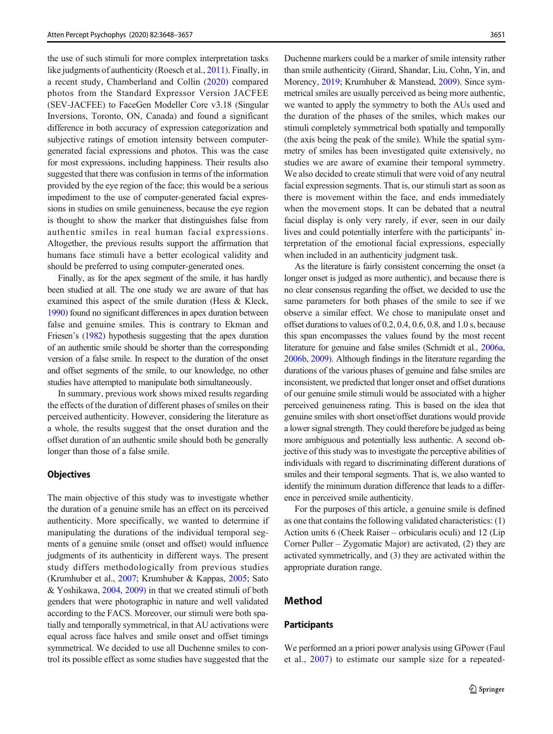the use of such stimuli for more complex interpretation tasks like judgments of authenticity (Roesch et al., [2011](#page-9-0)). Finally, in a recent study, Chamberland and Collin ([2020\)](#page-8-0) compared photos from the Standard Expressor Version JACFEE (SEV-JACFEE) to FaceGen Modeller Core v3.18 (Singular Inversions, Toronto, ON, Canada) and found a significant difference in both accuracy of expression categorization and subjective ratings of emotion intensity between computergenerated facial expressions and photos. This was the case for most expressions, including happiness. Their results also suggested that there was confusion in terms of the information provided by the eye region of the face; this would be a serious impediment to the use of computer-generated facial expressions in studies on smile genuineness, because the eye region is thought to show the marker that distinguishes false from authentic smiles in real human facial expressions. Altogether, the previous results support the affirmation that humans face stimuli have a better ecological validity and should be preferred to using computer-generated ones.

Finally, as for the apex segment of the smile, it has hardly been studied at all. The one study we are aware of that has examined this aspect of the smile duration (Hess & Kleck, [1990](#page-8-0)) found no significant differences in apex duration between false and genuine smiles. This is contrary to Ekman and Friesen's ([1982](#page-8-0)) hypothesis suggesting that the apex duration of an authentic smile should be shorter than the corresponding version of a false smile. In respect to the duration of the onset and offset segments of the smile, to our knowledge, no other studies have attempted to manipulate both simultaneously.

In summary, previous work shows mixed results regarding the effects of the duration of different phases of smiles on their perceived authenticity. However, considering the literature as a whole, the results suggest that the onset duration and the offset duration of an authentic smile should both be generally longer than those of a false smile.

#### **Objectives**

The main objective of this study was to investigate whether the duration of a genuine smile has an effect on its perceived authenticity. More specifically, we wanted to determine if manipulating the durations of the individual temporal segments of a genuine smile (onset and offset) would influence judgments of its authenticity in different ways. The present study differs methodologically from previous studies (Krumhuber et al., [2007;](#page-9-0) Krumhuber & Kappas, [2005](#page-9-0); Sato & Yoshikawa, [2004,](#page-9-0) [2009](#page-9-0)) in that we created stimuli of both genders that were photographic in nature and well validated according to the FACS. Moreover, our stimuli were both spatially and temporally symmetrical, in that AU activations were equal across face halves and smile onset and offset timings symmetrical. We decided to use all Duchenne smiles to control its possible effect as some studies have suggested that the

Duchenne markers could be a marker of smile intensity rather than smile authenticity (Girard, Shandar, Liu, Cohn, Yin, and Morency, [2019](#page-8-0); Krumhuber & Manstead, [2009](#page-9-0)). Since symmetrical smiles are usually perceived as being more authentic, we wanted to apply the symmetry to both the AUs used and the duration of the phases of the smiles, which makes our stimuli completely symmetrical both spatially and temporally (the axis being the peak of the smile). While the spatial symmetry of smiles has been investigated quite extensively, no studies we are aware of examine their temporal symmetry. We also decided to create stimuli that were void of any neutral facial expression segments. That is, our stimuli start as soon as there is movement within the face, and ends immediately when the movement stops. It can be debated that a neutral facial display is only very rarely, if ever, seen in our daily lives and could potentially interfere with the participants' interpretation of the emotional facial expressions, especially when included in an authenticity judgment task.

As the literature is fairly consistent concerning the onset (a longer onset is judged as more authentic), and because there is no clear consensus regarding the offset, we decided to use the same parameters for both phases of the smile to see if we observe a similar effect. We chose to manipulate onset and offset durations to values of 0.2, 0.4, 0.6, 0.8, and 1.0 s, because this span encompasses the values found by the most recent literature for genuine and false smiles (Schmidt et al., [2006a,](#page-9-0) [2006b](#page-9-0), [2009](#page-9-0)). Although findings in the literature regarding the durations of the various phases of genuine and false smiles are inconsistent, we predicted that longer onset and offset durations of our genuine smile stimuli would be associated with a higher perceived genuineness rating. This is based on the idea that genuine smiles with short onset/offset durations would provide a lower signal strength. They could therefore be judged as being more ambiguous and potentially less authentic. A second objective of this study was to investigate the perceptive abilities of individuals with regard to discriminating different durations of smiles and their temporal segments. That is, we also wanted to identify the minimum duration difference that leads to a difference in perceived smile authenticity.

For the purposes of this article, a genuine smile is defined as one that contains the following validated characteristics: (1) Action units 6 (Cheek Raiser – orbicularis oculi) and 12 (Lip Corner Puller – Zygomatic Major) are activated, (2) they are activated symmetrically, and (3) they are activated within the appropriate duration range.

# Method

#### **Participants**

We performed an a priori power analysis using GPower (Faul et al., [2007\)](#page-8-0) to estimate our sample size for a repeated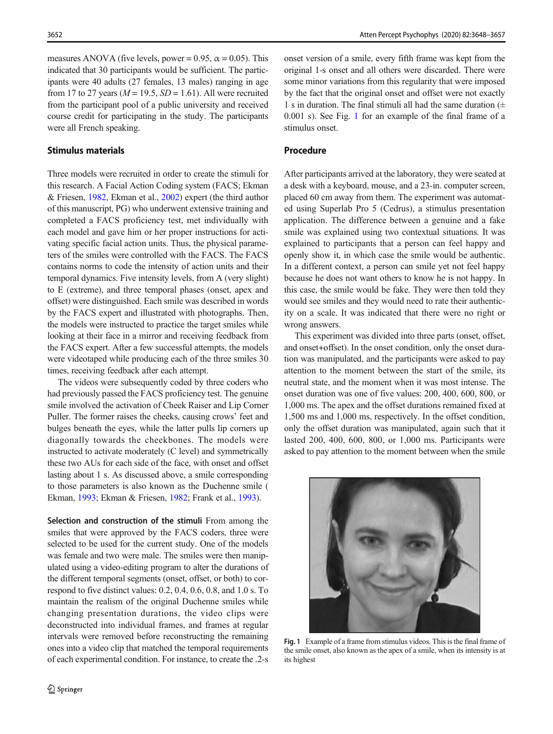measures ANOVA (five levels, power = 0.95,  $\alpha$  = 0.05). This indicated that 30 participants would be sufficient. The participants were 40 adults (27 females, 13 males) ranging in age from 17 to 27 years ( $M = 19.5$ ,  $SD = 1.61$ ). All were recruited from the participant pool of a public university and received course credit for participating in the study. The participants were all French speaking.

### Stimulus materials

Three models were recruited in order to create the stimuli for this research. A Facial Action Coding system (FACS; Ekman & Friesen, [1982](#page-8-0), Ekman et al., [2002](#page-8-0)) expert (the third author of this manuscript, PG) who underwent extensive training and completed a FACS proficiency test, met individually with each model and gave him or her proper instructions for activating specific facial action units. Thus, the physical parameters of the smiles were controlled with the FACS. The FACS contains norms to code the intensity of action units and their temporal dynamics. Five intensity levels, from A (very slight) to E (extreme), and three temporal phases (onset, apex and offset) were distinguished. Each smile was described in words by the FACS expert and illustrated with photographs. Then, the models were instructed to practice the target smiles while looking at their face in a mirror and receiving feedback from the FACS expert. After a few successful attempts, the models were videotaped while producing each of the three smiles 30 times, receiving feedback after each attempt.

The videos were subsequently coded by three coders who had previously passed the FACS proficiency test. The genuine smile involved the activation of Cheek Raiser and Lip Corner Puller. The former raises the cheeks, causing crows' feet and bulges beneath the eyes, while the latter pulls lip corners up diagonally towards the cheekbones. The models were instructed to activate moderately (C level) and symmetrically these two AUs for each side of the face, with onset and offset lasting about 1 s. As discussed above, a smile corresponding to those parameters is also known as the Duchenne smile ( Ekman, [1993](#page-8-0); Ekman & Friesen, [1982](#page-8-0); Frank et al., [1993](#page-8-0)).

Selection and construction of the stimuli From among the smiles that were approved by the FACS coders, three were selected to be used for the current study. One of the models was female and two were male. The smiles were then manipulated using a video-editing program to alter the durations of the different temporal segments (onset, offset, or both) to correspond to five distinct values: 0.2, 0.4, 0.6, 0.8, and 1.0 s. To maintain the realism of the original Duchenne smiles while changing presentation durations, the video clips were deconstructed into individual frames, and frames at regular intervals were removed before reconstructing the remaining ones into a video clip that matched the temporal requirements of each experimental condition. For instance, to create the .2-s

onset version of a smile, every fifth frame was kept from the original 1-s onset and all others were discarded. There were some minor variations from this regularity that were imposed by the fact that the original onset and offset were not exactly 1 s in duration. The final stimuli all had the same duration  $(±$ 0.001 s). See Fig. 1 for an example of the final frame of a stimulus onset.

## Procedure

After participants arrived at the laboratory, they were seated at a desk with a keyboard, mouse, and a 23-in. computer screen, placed 60 cm away from them. The experiment was automated using Superlab Pro 5 (Cedrus), a stimulus presentation application. The difference between a genuine and a fake smile was explained using two contextual situations. It was explained to participants that a person can feel happy and openly show it, in which case the smile would be authentic. In a different context, a person can smile yet not feel happy because he does not want others to know he is not happy. In this case, the smile would be fake. They were then told they would see smiles and they would need to rate their authenticity on a scale. It was indicated that there were no right or wrong answers.

This experiment was divided into three parts (onset, offset, and onset+offset). In the onset condition, only the onset duration was manipulated, and the participants were asked to pay attention to the moment between the start of the smile, its neutral state, and the moment when it was most intense. The onset duration was one of five values: 200, 400, 600, 800, or 1,000 ms. The apex and the offset durations remained fixed at 1,500 ms and 1,000 ms, respectively. In the offset condition, only the offset duration was manipulated, again such that it lasted 200, 400, 600, 800, or 1,000 ms. Participants were asked to pay attention to the moment between when the smile



Fig. 1 Example of a frame from stimulus videos. This is the final frame of the smile onset, also known as the apex of a smile, when its intensity is at its highest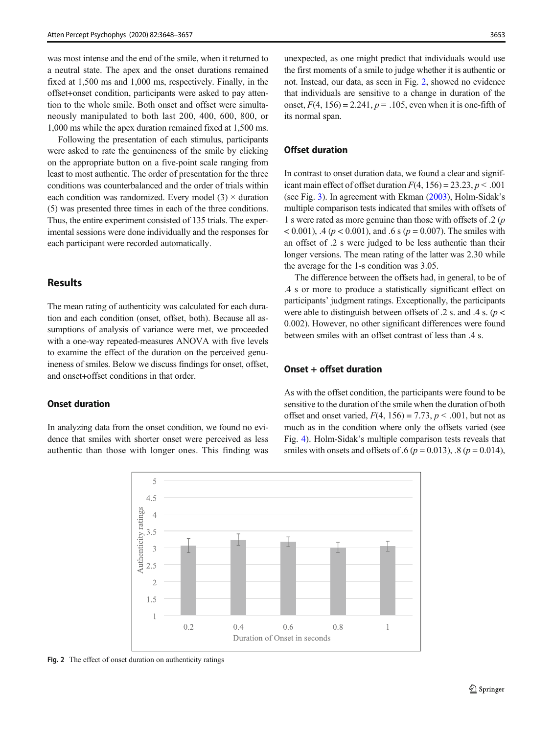was most intense and the end of the smile, when it returned to a neutral state. The apex and the onset durations remained fixed at 1,500 ms and 1,000 ms, respectively. Finally, in the offset+onset condition, participants were asked to pay attention to the whole smile. Both onset and offset were simultaneously manipulated to both last 200, 400, 600, 800, or 1,000 ms while the apex duration remained fixed at 1,500 ms.

Following the presentation of each stimulus, participants were asked to rate the genuineness of the smile by clicking on the appropriate button on a five-point scale ranging from least to most authentic. The order of presentation for the three conditions was counterbalanced and the order of trials within each condition was randomized. Every model  $(3) \times$  duration (5) was presented three times in each of the three conditions. Thus, the entire experiment consisted of 135 trials. The experimental sessions were done individually and the responses for each participant were recorded automatically.

# Results

The mean rating of authenticity was calculated for each duration and each condition (onset, offset, both). Because all assumptions of analysis of variance were met, we proceeded with a one-way repeated-measures ANOVA with five levels to examine the effect of the duration on the perceived genuineness of smiles. Below we discuss findings for onset, offset, and onset+offset conditions in that order.

### Onset duration

In analyzing data from the onset condition, we found no evidence that smiles with shorter onset were perceived as less authentic than those with longer ones. This finding was

unexpected, as one might predict that individuals would use the first moments of a smile to judge whether it is authentic or not. Instead, our data, as seen in Fig. 2, showed no evidence that individuals are sensitive to a change in duration of the onset,  $F(4, 156) = 2.241$ ,  $p = .105$ , even when it is one-fifth of its normal span.

# Offset duration

In contrast to onset duration data, we found a clear and significant main effect of offset duration  $F(4, 156) = 23.23, p < .001$ (see Fig. [3](#page-6-0)). In agreement with Ekman [\(2003\)](#page-8-0), Holm-Sidak's multiple comparison tests indicated that smiles with offsets of 1 s were rated as more genuine than those with offsets of .2 (p  $(0.001)$ , .4 ( $p < 0.001$ ), and .6 s ( $p = 0.007$ ). The smiles with an offset of .2 s were judged to be less authentic than their longer versions. The mean rating of the latter was 2.30 while the average for the 1-s condition was 3.05.

The difference between the offsets had, in general, to be of .4 s or more to produce a statistically significant effect on participants' judgment ratings. Exceptionally, the participants were able to distinguish between offsets of  $.2$  s. and  $.4$  s. ( $p$  < 0.002). However, no other significant differences were found between smiles with an offset contrast of less than .4 s.

# Onset + offset duration

As with the offset condition, the participants were found to be sensitive to the duration of the smile when the duration of both offset and onset varied,  $F(4, 156) = 7.73$ ,  $p < .001$ , but not as much as in the condition where only the offsets varied (see Fig. [4](#page-6-0)). Holm-Sidak's multiple comparison tests reveals that smiles with onsets and offsets of .6 ( $p = 0.013$ ), .8 ( $p = 0.014$ ),



Fig. 2 The effect of onset duration on authenticity ratings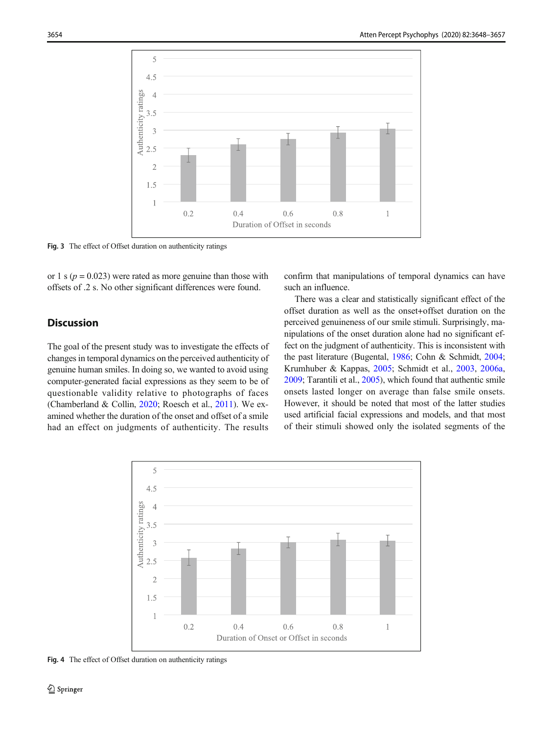<span id="page-6-0"></span>

Fig. 3 The effect of Offset duration on authenticity ratings

or 1 s ( $p = 0.023$ ) were rated as more genuine than those with offsets of .2 s. No other significant differences were found.

confirm that manipulations of temporal dynamics can have such an influence.

# **Discussion**

The goal of the present study was to investigate the effects of changes in temporal dynamics on the perceived authenticity of genuine human smiles. In doing so, we wanted to avoid using computer-generated facial expressions as they seem to be of questionable validity relative to photographs of faces (Chamberland & Collin, [2020;](#page-8-0) Roesch et al., [2011](#page-9-0)). We examined whether the duration of the onset and offset of a smile had an effect on judgments of authenticity. The results

There was a clear and statistically significant effect of the offset duration as well as the onset+offset duration on the perceived genuineness of our smile stimuli. Surprisingly, manipulations of the onset duration alone had no significant effect on the judgment of authenticity. This is inconsistent with the past literature (Bugental, [1986;](#page-8-0) Cohn & Schmidt, [2004;](#page-8-0) Krumhuber & Kappas, [2005](#page-9-0); Schmidt et al., [2003](#page-9-0), [2006a,](#page-9-0) [2009;](#page-9-0) Tarantili et al., [2005](#page-9-0)), which found that authentic smile onsets lasted longer on average than false smile onsets. However, it should be noted that most of the latter studies used artificial facial expressions and models, and that most of their stimuli showed only the isolated segments of the



Fig. 4 The effect of Offset duration on authenticity ratings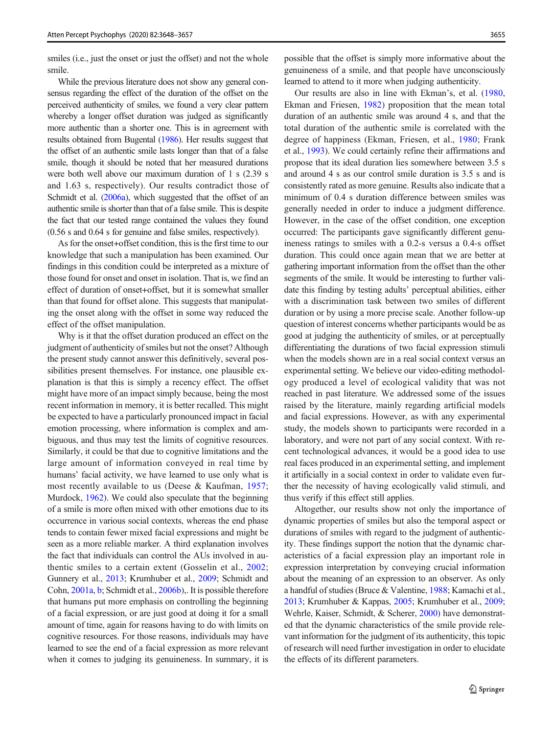smiles (*i.e.*, just the onset or just the offset) and not the whole smile.

While the previous literature does not show any general consensus regarding the effect of the duration of the offset on the perceived authenticity of smiles, we found a very clear pattern whereby a longer offset duration was judged as significantly more authentic than a shorter one. This is in agreement with results obtained from Bugental [\(1986](#page-8-0)). Her results suggest that the offset of an authentic smile lasts longer than that of a false smile, though it should be noted that her measured durations were both well above our maximum duration of 1 s (2.39 s and 1.63 s, respectively). Our results contradict those of Schmidt et al. [\(2006a\)](#page-9-0), which suggested that the offset of an authentic smile is shorter than that of a false smile. This is despite the fact that our tested range contained the values they found (0.56 s and 0.64 s for genuine and false smiles, respectively).

As for the onset+offset condition, this is the first time to our knowledge that such a manipulation has been examined. Our findings in this condition could be interpreted as a mixture of those found for onset and onset in isolation. That is, we find an effect of duration of onset+offset, but it is somewhat smaller than that found for offset alone. This suggests that manipulating the onset along with the offset in some way reduced the effect of the offset manipulation.

Why is it that the offset duration produced an effect on the judgment of authenticity of smiles but not the onset? Although the present study cannot answer this definitively, several possibilities present themselves. For instance, one plausible explanation is that this is simply a recency effect. The offset might have more of an impact simply because, being the most recent information in memory, it is better recalled. This might be expected to have a particularly pronounced impact in facial emotion processing, where information is complex and ambiguous, and thus may test the limits of cognitive resources. Similarly, it could be that due to cognitive limitations and the large amount of information conveyed in real time by humans' facial activity, we have learned to use only what is most recently available to us (Deese & Kaufman, [1957](#page-8-0); Murdock, [1962\)](#page-9-0). We could also speculate that the beginning of a smile is more often mixed with other emotions due to its occurrence in various social contexts, whereas the end phase tends to contain fewer mixed facial expressions and might be seen as a more reliable marker. A third explanation involves the fact that individuals can control the AUs involved in authentic smiles to a certain extent (Gosselin et al., [2002](#page-8-0); Gunnery et al., [2013;](#page-8-0) Krumhuber et al., [2009](#page-9-0); Schmidt and Cohn, [2001a](#page-9-0), [b;](#page-9-0) Schmidt et al., [2006b](#page-9-0)),. It is possible therefore that humans put more emphasis on controlling the beginning of a facial expression, or are just good at doing it for a small amount of time, again for reasons having to do with limits on cognitive resources. For those reasons, individuals may have learned to see the end of a facial expression as more relevant when it comes to judging its genuineness. In summary, it is

possible that the offset is simply more informative about the genuineness of a smile, and that people have unconsciously learned to attend to it more when judging authenticity.

Our results are also in line with Ekman's, et al. ([1980,](#page-8-0) Ekman and Friesen, [1982](#page-8-0)) proposition that the mean total duration of an authentic smile was around 4 s, and that the total duration of the authentic smile is correlated with the degree of happiness (Ekman, Friesen, et al., [1980](#page-8-0); Frank et al., [1993\)](#page-8-0). We could certainly refine their affirmations and propose that its ideal duration lies somewhere between 3.5 s and around 4 s as our control smile duration is 3.5 s and is consistently rated as more genuine. Results also indicate that a minimum of 0.4 s duration difference between smiles was generally needed in order to induce a judgment difference. However, in the case of the offset condition, one exception occurred: The participants gave significantly different genuineness ratings to smiles with a 0.2-s versus a 0.4-s offset duration. This could once again mean that we are better at gathering important information from the offset than the other segments of the smile. It would be interesting to further validate this finding by testing adults' perceptual abilities, either with a discrimination task between two smiles of different duration or by using a more precise scale. Another follow-up question of interest concerns whether participants would be as good at judging the authenticity of smiles, or at perceptually differentiating the durations of two facial expression stimuli when the models shown are in a real social context versus an experimental setting. We believe our video-editing methodology produced a level of ecological validity that was not reached in past literature. We addressed some of the issues raised by the literature, mainly regarding artificial models and facial expressions. However, as with any experimental study, the models shown to participants were recorded in a laboratory, and were not part of any social context. With recent technological advances, it would be a good idea to use real faces produced in an experimental setting, and implement it artificially in a social context in order to validate even further the necessity of having ecologically valid stimuli, and thus verify if this effect still applies.

Altogether, our results show not only the importance of dynamic properties of smiles but also the temporal aspect or durations of smiles with regard to the judgment of authenticity. These findings support the notion that the dynamic characteristics of a facial expression play an important role in expression interpretation by conveying crucial information about the meaning of an expression to an observer. As only a handful of studies (Bruce & Valentine, [1988](#page-8-0); Kamachi et al., [2013;](#page-9-0) Krumhuber & Kappas, [2005;](#page-9-0) Krumhuber et al., [2009;](#page-9-0) Wehrle, Kaiser, Schmidt, & Scherer, [2000](#page-9-0)) have demonstrated that the dynamic characteristics of the smile provide relevant information for the judgment of its authenticity, this topic of research will need further investigation in order to elucidate the effects of its different parameters.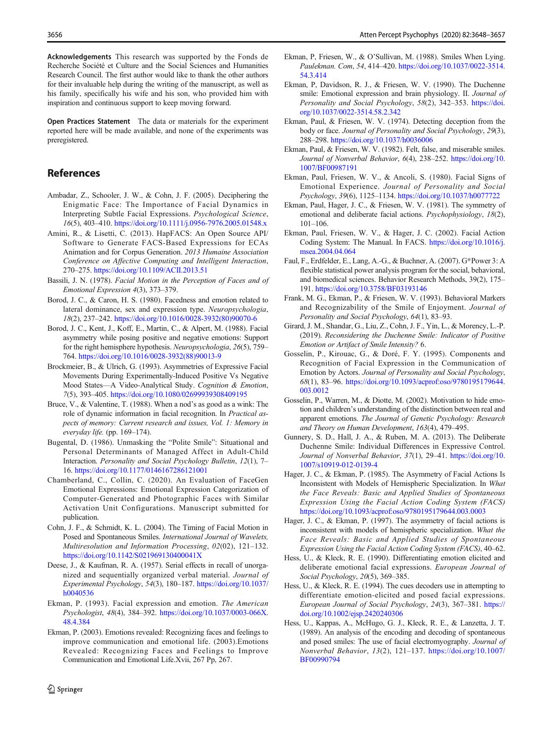<span id="page-8-0"></span>Acknowledgements This research was supported by the Fonds de Recherche Société et Culture and the Social Sciences and Humanities Research Council. The first author would like to thank the other authors for their invaluable help during the writing of the manuscript, as well as his family, specifically his wife and his son, who provided him with inspiration and continuous support to keep moving forward.

Open Practices Statement The data or materials for the experiment reported here will be made available, and none of the experiments was preregistered.

# References

- Ambadar, Z., Schooler, J. W., & Cohn, J. F. (2005). Deciphering the Enigmatic Face: The Importance of Facial Dynamics in Interpreting Subtle Facial Expressions. Psychological Science, 16(5), 403–410. <https://doi.org/10.1111/j.0956-7976.2005.01548.x>
- Amini, R., & Lisetti, C. (2013). HapFACS: An Open Source API/ Software to Generate FACS-Based Expressions for ECAs Animation and for Corpus Generation. 2013 Humaine Association Conference on Affective Computing and Intelligent Interaction, 270–275. <https://doi.org/10.1109/ACII.2013.51>
- Bassili, J. N. (1978). Facial Motion in the Perception of Faces and of Emotional Expression 4(3), 373–379.
- Borod, J. C., & Caron, H. S. (1980). Facedness and emotion related to lateral dominance, sex and expression type. Neuropsychologia, 18(2), 237–242. [https://doi.org/10.1016/0028-3932\(80\)90070-6](https://doi.org/10.1016/0028-3932(80)90070-6)
- Borod, J. C., Kent, J., Koff, E., Martin, C., & Alpert, M. (1988). Facial asymmetry while posing positive and negative emotions: Support for the right hemisphere hypothesis. Neuropsychologia, 26(5), 759– 764. [https://doi.org/10.1016/0028-3932\(88\)90013-9](https://doi.org/10.1016/0028-3932(88)90013-9)
- Brockmeier, B., & Ulrich, G. (1993). Asymmetries of Expressive Facial Movements During Experimentally-Induced Positive Vs Negative Mood States—A Video-Analytical Study. Cognition & Emotion, 7(5), 393–405. <https://doi.org/10.1080/02699939308409195>
- Bruce, V., & Valentine, T. (1988). When a nod's as good as a wink: The role of dynamic information in facial recognition. In Practical aspects of memory: Current research and issues, Vol. 1: Memory in everyday life. (pp. 169–174).
- Bugental, D. (1986). Unmasking the "Polite Smile": Situational and Personal Determinants of Managed Affect in Adult-Child Interaction. Personality and Social Psychology Bulletin, 12(1), 7– 16. <https://doi.org/10.1177/0146167286121001>
- Chamberland, C., Collin, C. (2020). An Evaluation of FaceGen Emotional Expressions: Emotional Expression Categorization of Computer-Generated and Photographic Faces with Similar Activation Unit Configurations. Manuscript submitted for publication.
- Cohn, J. F., & Schmidt, K. L. (2004). The Timing of Facial Motion in Posed and Spontaneous Smiles. International Journal of Wavelets, Multiresolution and Information Processing, 02(02), 121–132. <https://doi.org/10.1142/S021969130400041X>
- Deese, J., & Kaufman, R. A. (1957). Serial effects in recall of unorganized and sequentially organized verbal material. Journal of Experimental Psychology, 54(3), 180–187. [https://doi.org/10.1037/](https://doi.org/10.1037/h0040536) [h0040536](https://doi.org/10.1037/h0040536)
- Ekman, P. (1993). Facial expression and emotion. The American Psychologist, 48(4), 384–392. [https://doi.org/10.1037/0003-066X.](https://doi.org/10.1037/0003-066X.48.4.384) [48.4.384](https://doi.org/10.1037/0003-066X.48.4.384)
- Ekman, P. (2003). Emotions revealed: Recognizing faces and feelings to improve communication and emotional life. (2003).Emotions Revealed: Recognizing Faces and Feelings to Improve Communication and Emotional Life.Xvii, 267 Pp, 267.
- Ekman, P, Friesen, W., & O'Sullivan, M. (1988). Smiles When Lying. Paulekman. Com, 54, 414–420. [https://doi.org/10.1037/0022-3514.](https://doi.org/10.1037/0022-3514.54.3.414) [54.3.414](https://doi.org/10.1037/0022-3514.54.3.414)
- Ekman, P, Davidson, R. J., & Friesen, W. V. (1990). The Duchenne smile: Emotional expression and brain physiology. II. Journal of Personality and Social Psychology, 58(2), 342-353. [https://doi.](https://doi.org/10.1037/0022-3514.58.2.342) [org/10.1037/0022-3514.58.2.342](https://doi.org/10.1037/0022-3514.58.2.342)
- Ekman, Paul, & Friesen, W. V. (1974). Detecting deception from the body or face. Journal of Personality and Social Psychology, 29(3), 288–298. <https://doi.org/10.1037/h0036006>
- Ekman, Paul, & Friesen, W. V. (1982). Felt, false, and miserable smiles. Journal of Nonverbal Behavior, 6(4), 238–252. [https://doi.org/10.](https://doi.org/10.1007/BF00987191) [1007/BF00987191](https://doi.org/10.1007/BF00987191)
- Ekman, Paul, Friesen, W. V., & Ancoli, S. (1980). Facial Signs of Emotional Experience. Journal of Personality and Social Psychology, 39(6), 1125–1134. <https://doi.org/10.1037/h0077722>
- Ekman, Paul, Hager, J. C., & Friesen, W. V. (1981). The symmetry of emotional and deliberate facial actions. Psychophysiology, 18(2), 101–106.
- Ekman, Paul, Friesen, W. V., & Hager, J. C. (2002). Facial Action Coding System: The Manual. In FACS. [https://doi.org/10.1016/j.](https://doi.org/10.1016/j.msea.2004.04.064) [msea.2004.04.064](https://doi.org/10.1016/j.msea.2004.04.064)
- Faul, F., Erdfelder, E., Lang, A.-G., & Buchner, A. (2007). G\*Power 3: A flexible statistical power analysis program for the social, behavioral, and biomedical sciences. Behavior Research Methods, 39(2), 175– 191. <https://doi.org/10.3758/BF03193146>
- Frank, M. G., Ekman, P., & Friesen, W. V. (1993). Behavioral Markers and Recognizability of the Smile of Enjoyment. Journal of Personality and Social Psychology, 64(1), 83–93.
- Girard, J. M., Shandar, G., Liu, Z., Cohn, J. F., Yin, L., & Morency, L.-P. (2019). Reconsidering the Duchenne Smile: Indicator of Positive Emotion or Artifact of Smile Intensity? 6.
- Gosselin, P., Kirouac, G., & Doré, F. Y. (1995). Components and Recognition of Facial Expression in the Communication of Emotion by Actors. Journal of Personality and Social Psychology, 68(1), 83–96. [https://doi.org/10.1093/acprof:oso/9780195179644.](https://doi.org/10.1093/acprof:oso/9780195179644.003.0012) [003.0012](https://doi.org/10.1093/acprof:oso/9780195179644.003.0012)
- Gosselin, P., Warren, M., & Diotte, M. (2002). Motivation to hide emotion and children's understanding of the distinction between real and apparent emotions. The Journal of Genetic Psychology: Research and Theory on Human Development, 163(4), 479–495.
- Gunnery, S. D., Hall, J. A., & Ruben, M. A. (2013). The Deliberate Duchenne Smile: Individual Differences in Expressive Control. Journal of Nonverbal Behavior, 37(1), 29–41. [https://doi.org/10.](https://doi.org/10.1007/s10919-012-0139-4) [1007/s10919-012-0139-4](https://doi.org/10.1007/s10919-012-0139-4)
- Hager, J. C., & Ekman, P. (1985). The Asymmetry of Facial Actions Is Inconsistent with Models of Hemispheric Specialization. In What the Face Reveals: Basic and Applied Studies of Spontaneous Expression Using the Facial Action Coding System (FACS) <https://doi.org/10.1093/acprof:oso/9780195179644.003.0003>
- Hager, J. C., & Ekman, P. (1997). The asymmetry of facial actions is inconsistent with models of hemispheric specialization. What the Face Reveals: Basic and Applied Studies of Spontaneous Expression Using the Facial Action Coding System (FACS), 40–62.
- Hess, U., & Kleck, R. E. (1990). Differentiating emotion elicited and deliberate emotional facial expressions. European Journal of Social Psychology, 20(5), 369–385.
- Hess, U., & Kleck, R. E. (1994). The cues decoders use in attempting to differentiate emotion-elicited and posed facial expressions. European Journal of Social Psychology, 24(3), 367–381. [https://](https://doi.org/10.1002/ejsp.2420240306) [doi.org/10.1002/ejsp.2420240306](https://doi.org/10.1002/ejsp.2420240306)
- Hess, U., Kappas, A., McHugo, G. J., Kleck, R. E., & Lanzetta, J. T. (1989). An analysis of the encoding and decoding of spontaneous and posed smiles: The use of facial electromyography. Journal of Nonverbal Behavior, 13(2), 121–137. [https://doi.org/10.1007/](https://doi.org/10.1007/BF00990794) [BF00990794](https://doi.org/10.1007/BF00990794)